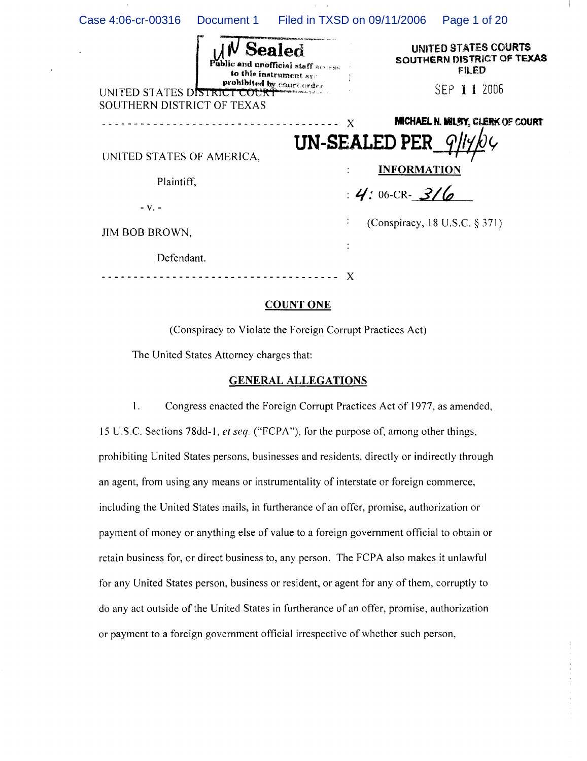| Case 4:06-cr-00316                                         |  |                                                                                                     | Document 1 Filed in TXSD on 09/11/2006         | Page 1 of 20                                                               |
|------------------------------------------------------------|--|-----------------------------------------------------------------------------------------------------|------------------------------------------------|----------------------------------------------------------------------------|
| UNITED STATES DISTRICT COURT<br>SOUTHERN DISTRICT OF TEXAS |  | Sealed<br>Public and unofficial staff access<br>to this instrument are<br>prohibited by court order |                                                | UNITED STATES COURTS<br>SOUTHERN DISTRICT OF TEXAS<br>FILED<br>SEP 11 2006 |
|                                                            |  |                                                                                                     | X                                              | <b>MICHAEL N. MILBY, CLERK OF COURT</b>                                    |
| UNITED STATES OF AMERICA,<br>Plaintiff,                    |  |                                                                                                     | UN-SEALED PER<br><b>INFORMATION</b>            |                                                                            |
| $-Vz$ -                                                    |  |                                                                                                     | : $4:06$ -CR- 3/6                              |                                                                            |
| JIM BOB BROWN,                                             |  |                                                                                                     | (Conspiracy, 18 U.S.C. $\S 371$ )<br>$\bullet$ |                                                                            |
| Defendant.                                                 |  |                                                                                                     |                                                |                                                                            |
|                                                            |  |                                                                                                     | X                                              |                                                                            |

 $\bar{1}$ 

## COUNT ONE

(Conspiracy to Violate the Foreign Corrupt Practices Act)

The United States Attorney charges that:

#### GENERAL ALLEGATIONS

I. Congress enacted the Foreign Corrupt Practices Act of 1977, as amended, 15 U .S.c. Sections 7Sdd-l , *et seq.* ("FCPA "), for the purpose of, among other things, prohibiting United States persons, businesses and residents, directly or indirectly through an agent, from using any means or instrumentality of interstate or foreign commerce, including the United States mails, in furtherance of an offer, promise, authorization or payment of money or anything else of value to a foreign government official to obtain or retain business for, or direct business to, any person. The FCPA also makes it unlawful for any United States person, business or resident, or agent for any of them, corruptly to do any act outside of the United States in furtherance of an offer, promise, authorization or payment to a foreign government official irrespective of whether such person,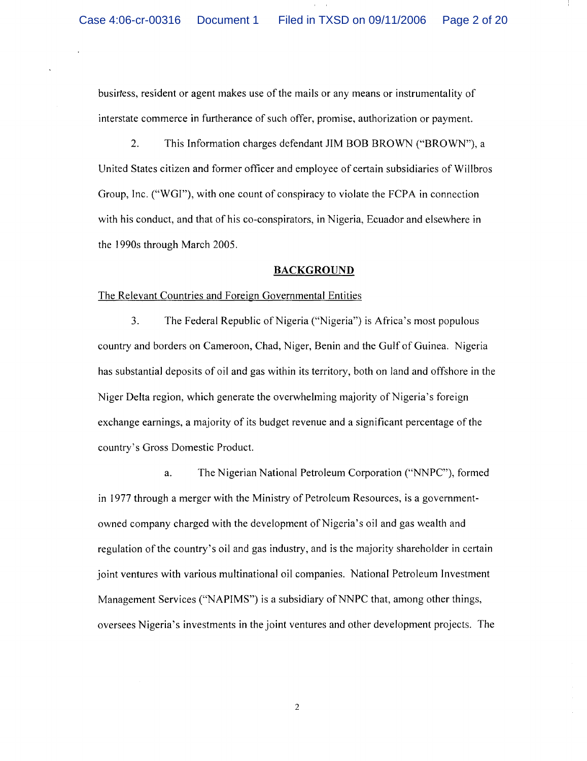busirtess, resident or agent makes use of the mails or any means or instrumentality of interstate commerce in furtherance of such offer, promise, authorization or payment.

2. This Information charges defendant JIM BOB BROWN ("BROWN"), a United States citizen and former officer and employee of certain subsidiaries of Willbros Group, Inc. ("WGI"), with one count of conspiracy to violate the FCPA in connection with his conduct, and that of his co-conspirators, in Nigeria, Ecuador and elsewhere in the 1990s through March 2005.

### **BACKGROUND**

## The Relevant Countries and Foreign Governmental Entities

3. The Federal Republic of Nigeria ("Nigeria") is Africa's most populous country and borders on Cameroon, Chad, Niger, Benin and the Gulf of Guinea. Nigeria has substantial deposits of oil and gas within its territory, both on land and offshore in the Niger Delta region, which generate the overwhelming majority of Nigeria's foreign exchange earnings, a majority of its budget revenue and a significant percentage of the country's Gross Domestic Product.

a. The Nigerian National Petroleum Corporation ("NNPC"), formed in 1977 through a merger with the Ministry of Petroleum Resources, is a governmentowned company charged with the development of Nigeria's oil and gas wealth and regulation of the country's oil and gas industry, and is the majority shareholder in certain joint ventures with various multinational oil companies. National Petroleum Investment Management Services ("NAPIMS") is a subsidiary of NNPC that, among other things, oversees Nigeria's investments in the joint ventures and other development projects. The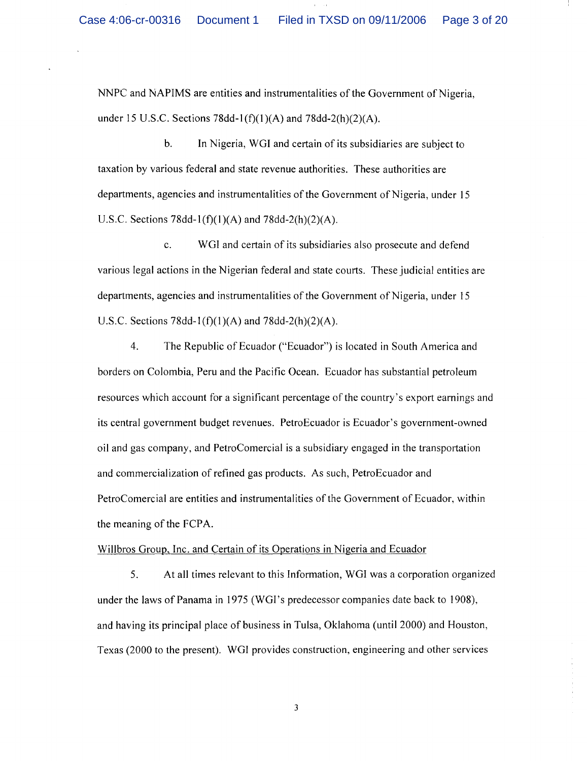NNPC and NAPIMS are entities and instrumentalities of the Government of Nigeria, under 15 U.S.C. Sections 78dd-1(f)(1)(A) and 78dd-2(h)(2)(A).

b. In Nigeria, WGI and certain of its subsidiaries are subject to taxation by various federal and state revenue authorities. These authorities are departments, agencies and instrumentalities of the Government of Nigeria, under 15 U.S.C. Sections 78dd-1(f)(1)(A) and 78dd-2(h)(2)(A).

c. WGI and certain of its subsidiaries also prosecute and defend various legal actions in the Nigerian federal and state courts. These judicial entities are departments, agencies and instrumentalities of the Government of Nigeria, under 15 U.S.C. Sections 78dd-1(f)(1)(A) and 78dd-2(h)(2)(A).

4. The Republic of Ecuador ("Ecuador") is located in South America and borders on Colombia, Peru and the Pacific Ocean. Ecuador has substantial petroleum resources which account for a significant percentage of the country's export earnings and its central government budget revenues. PetroEcuador is Ecuador's government-owned oil and gas company, and PetroComercial is a subsidiary engaged in the transportation and commercialization of refined gas products. As such, PetroEcuador and PetroComercial are entities and instrumentalities of the Government of Ecuador, within the meaning of the FCPA.

# Willbros Group, Inc. and Certain of its Operations in Nigeria and Ecuador

5. At all times relevant to this Information, WGI was a corporation organized under the laws of Panama in 1975 (WGI's predecessor companies date back to 1908), and having its principal place of business in Tulsa, Oklahoma (until 2000) and Houston, Texas (2000 to the present). WGI provides construction, engineering and other services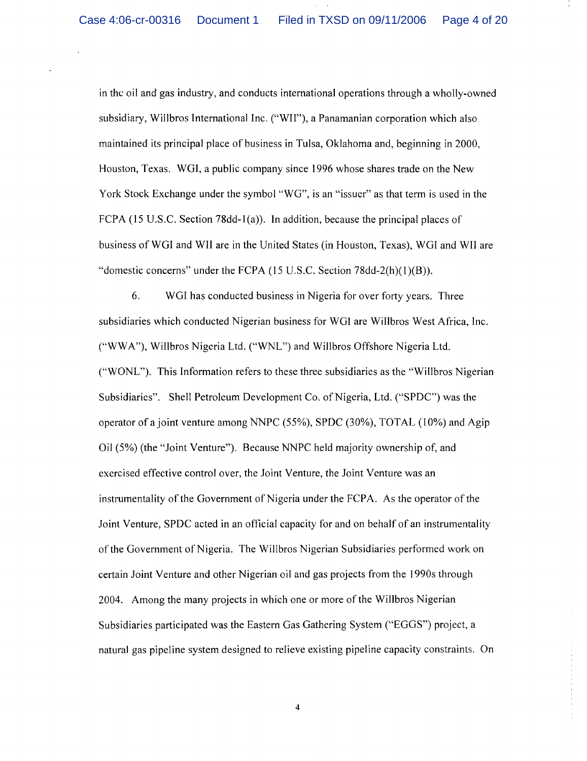in the oil and gas industry, and conducts international operations through a wholly-owned subsidiary, Willbros International Inc. ("WII"), a Panamanian corporation which also maintained its principal place of business in Tulsa, Oklahoma and, beginning in 2000, Houston, Texas. WGI, a public company since 1996 whose shares trade on the New York Stock Exchange under the symbol "WG", is an "issuer" as that term is used in the FCPA (15 U.S.c. Section 78dd-1(a)). In addition, because the principal places of business of WGI and Wll are in the United States (in Houston, Texas), WGI and Wll are "domestic concerns" under the FCPA (15 U.S.C. Section 78dd-2(h)(1)(B)).

6. WGI has conducted business in Nigeria for over forty years. Three subsidiaries which conducted Nigerian business for WGI are Willbros West Africa, Inc. ("WW A"), Willbros Nigeria Ltd. ("WNL") and Willbros Offshore Nigeria Ltd. ("WONL"). This Information refers to these three subsidiaries as the "Willbros Nigerian Subsidiaries". Shell Petroleum Development Co. of Nigeria, Ltd. ("SPDC") was the operator of a joint venture among NNPC (55%), SPDC (30%), TOTAL (10%) and Agip Oil (5%) (the "Joint Venture"). Because NNPC held majority ownership of, and exercised effective control over, the Joint Venture, the Joint Venture was an instrumentality of the Government of Nigeria under the FCPA. As the operator of the Joint Venture, SPDC acted in an official capacity for and on behalf of an instrumentality of the Government of Nigeria. The Willbros Nigerian Subsidiaries performed work on certain Joint Venture and other Nigerian oil and gas projects from the 1990s through 2004. Among the many projects in which one or more of the Willbros Nigerian Subsidiaries participated was the Eastern Gas Gathering System ("EGGS") project, a natural gas pipeline system designed to relieve existing pipeline capacity constraints. On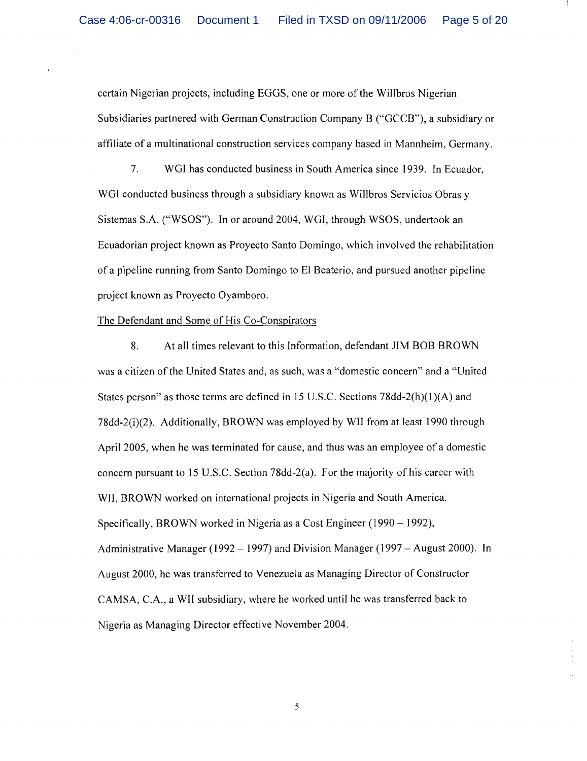certarn Nigerian projects, including EGGS, one or more of the Willbros Nigerian Subsidiaries partnered with German Construction Company B ("GCCB"), a subsidiary or affiliate of a multinational construction services company based in Mannheim, Germany.

7. WGI has conducted business in South America since 1939. **In** Ecuador, WGI conducted business through a subsidiary known as Willbros Servicios Obras y Sistemas S.A. ("WSOS"). In or around 2004, WGI, through WSOS, undertook an Ecuadorian project known as Proyecto Santo Domingo, which involved the rehabilitation of a pipeline running from Santo Domingo to El Beaterio, and pursued another pipeline project known as Proyecto Oyamboro.

## The Defendant and Some of His Co-Conspirators

8. At all times relevant to this Information, defendant JIM BOB BROWN was a citizen of the United States and, as such, was a "domestic concern" and a "United States person" as those terms are defined in 15 U.S.C. Sections  $78\text{dd}-2(h)(1)(A)$  and 78dd-2(i)(2). Additionally, BROWN was employed by WII from at least 1990 through April 2005, when he was terminated for cause, and thus was an employee of a domestic concern pursuant to 15 U.S.C. Section 78dd-2(a). For the majority of his career with WII, BROWN worked on international projects in Nigeria and South America. Specifically, BROWN worked in Nigeria as a Cost Engineer (1990 – 1992), Administrative Manager (1992 – 1997) and Division Manager (1997 – August 2000). In August 2000, he was transferred to Venezuela as Managing Director of Constructor CAMSA, c.A., a WII subsidiary, where he worked until he was transferred back to Nigeria as Managing Director effective November 2004.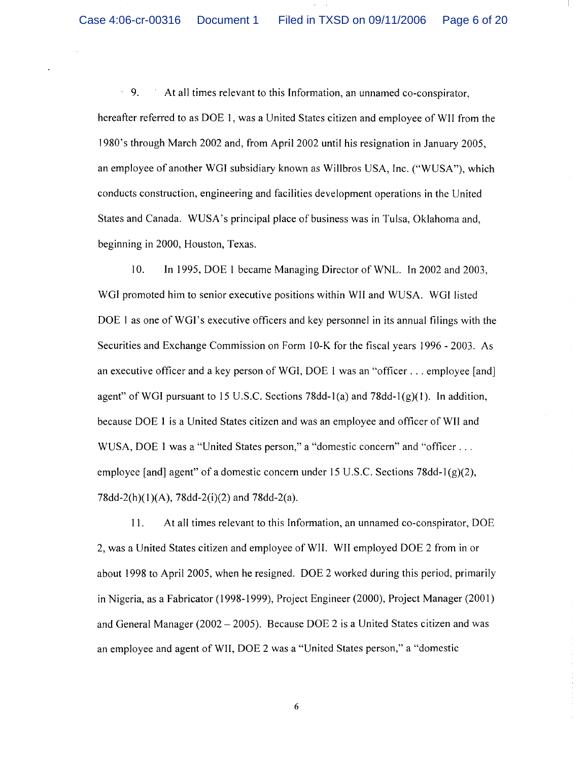$\bar{z}$ 9. At all times relevant to this Information, an unnamed co-conspirator, hereafter referred to as DOE 1, was a United States citizen and employee of WII from the 1980's through March 2002 and, from April 2002 until his resignation in January 2005, an employee of another WGI subsidiary known as Willbros USA, Inc. ("WUSA"), which conducts construction, engineering and facilities development operations in the United States and Canada. WUSA's principal place of business was in Tulsa, Oklahoma and, beginning in 2000, Houston, Texas.

10. In 1995, DOE I became Managing Director of WNL. In 2002 and 2003, WGI promoted him to senior executive positions within WIland WUSA. WGI listed DOE 1 as one of WGI's executive officers and key personnel in its annual filings with the Securities and Exchange Commission on Form 10-K for the fiscal years 1996 - 2003. As an executive officer and a key person of WGI, DOE I was an "officer ... employee [and] agent" of WGI pursuant to 15 U.S.C. Sections 78dd-1(a) and 78dd-1(g)(1). In addition, because DOE 1 is a United States citizen and was an employee and officer of WII and WUSA, DOE 1 was a "United States person," a "domestic concern" and "officer ... employee [and] agent" of a domestic concern under 15 U.S.C. Sections 78dd- $I(g)(2)$ , 78dd-2(h)(1)(A), 78dd-2(i)(2) and 78dd-2(a).

II. At all times relevant to this Information, an unnamed co-conspirator, DOE 2, was a United States citizen and employee of WII. WII employed DOE 2 from in or about 1998 to April 2005, when he resigned. DOE 2 worked during this period, primarily in Nigeria, as a Fabricator (1998-1999), Project Engineer (2000), Project Manager (2001) and General Manager ( $2002 - 2005$ ). Because DOE 2 is a United States citizen and was an employee and agent of WH, DOE 2 was a "United States person," a "domestic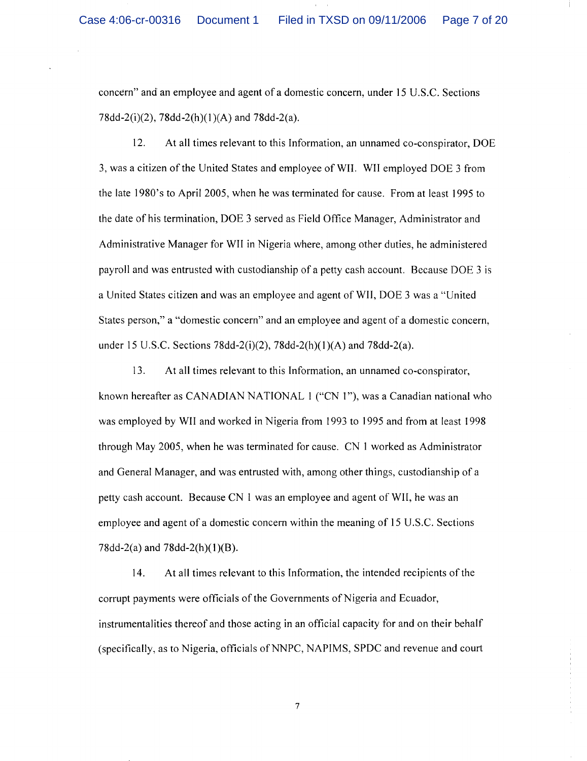concern" and an employee and agent of a domestic concern, under 15 U.S.c. Sections 78dd-2(i)(2), 78dd-2(h)(1)(A) and 78dd-2(a).

12. At all times relevant to this Information, an unnamed co-conspirator, DOE 3, was a citizen of the United States and employee ofWII. WII employed DOE 3 from the late 1980's to April 2005, when he was terminated for cause. From at least 1995 to the date of his termination, DOE 3 served as Field Office Manager, Administrator and Administrative Manager for WII in Nigeria where, among other duties, he administered payroll and was entrusted with custodianship of a petty cash account. Because DOE 3 is a United States citizen and was an employee and agent ofWII, DOE 3 was a "United States person," a "domestic concern" and an employee and agent of a domestic concern, under 15 U.S.c. Sections 78dd-2(i)(2), 78dd-2(h)(1)(A) and 78dd-2(a).

13. At all times relevant to this Information, an unnamed co-conspirator, known hereafter as CANADIAN NATIONAL 1 ("CN 1"), was a Canadian national who was employed by WII and worked in Nigeria from 1993 to 1995 and from at least 1998 through May 2005, when he was terminated for cause. CN 1 worked as Administrator and General Manager, and was entrusted with, among other things, custodianship of a petty cash account. Because CN 1 was an employee and agent of WII, he was an employee and agent of a domestic concern within the meaning of 15 U.S.c. Sections 78dd-2(a) and 78dd-2(h)(1)(B).

14. At all times relevant to this Information, the intended recipients of the corrupt payments were officials of the Governments of Nigeria and Ecuador, instrumentalities thereof and those acting in an official capacity for and on their behalf (specifically, as to Nigeria, officials of NNPC, NAPIMS, SPDC and revenue and court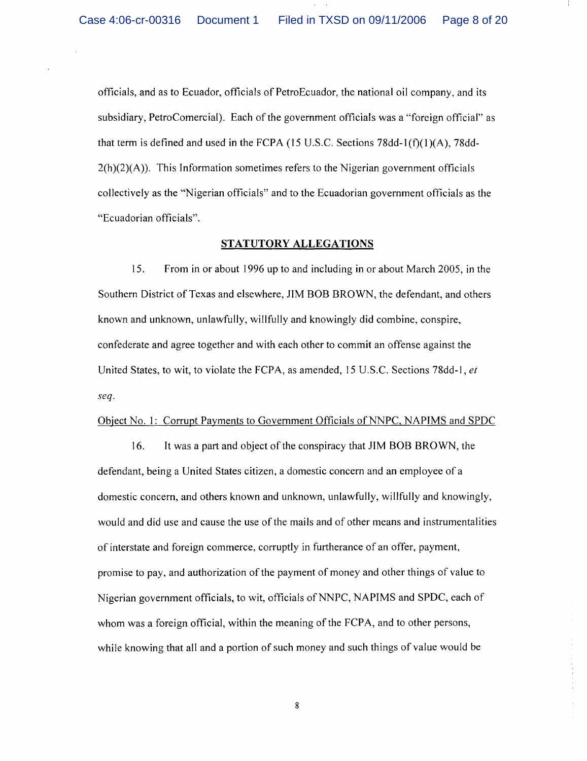officials, and as to Ecuador, officials of PetroEcuador, the national oil company, and its subsidiary, PetroComercial). Each of the government officials was a "foreign official" as that term is defined and used in the FCPA (15 U.S.c. Sections 78dd-l(f)(I)(A), 78dd- $2(h)(2)(A)$ ). This Information sometimes refers to the Nigerian government officials collectively as the "Nigerian officials" and to the Ecuadorian government officials as the "Ecuadorian officials".

## **STATUTORY ALLEGATIONS**

15. From in or about 1996 up to and including in or about March 2005, in the Southern District of Texas and elsewhere, JIM BOB BROWN, the defendant, and others known and unknown, unlawfully, willfully and knowingly did combine, conspire, confederate and agree together and with each other to commit an offense against the United States, to wit, to violate the FCPA, as amended, 15 U .S.c. Sections 78dd-\, *et seq.* 

## Object No. 1: Corrupt Payments to Government Officials of NNPC, NAPIMS and SPDC

16. It was a part and object of the conspiracy that JIM BOB BROWN, the defendant, being a United States citizen, a domestic concern and an employee of a domestic concern, and others known and unknown, unlawfully, willfully and knowingly, would and did use and cause the use of the mails and of other means and instrumentalities of interstate and foreign commerce, corruptly in furtherance of an offer, payment, promise to pay, and authorization of the payment of money and other things of value to Nigerian government officials, to wit, officials of NNPC, NAPIMS and SPDC, each of whom was a foreign official, within the meaning of the FCPA, and to other persons, while knowing that all and a portion of such money and such things of value would be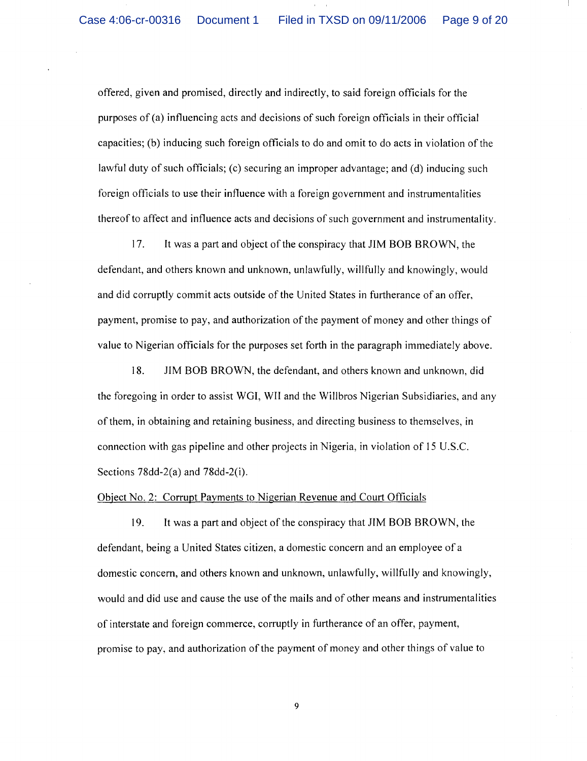offered, given and promised, directly and indirectly, to said foreign officials for the purposes of (a) influencing acts and decisions of such foreign officials in their official capacities; (b) inducing such foreign officials to do and omit to do acts in violation of the lawful duty of such officials; (c) securing an improper advantage; and (d) inducing such foreign officials to use their influence with a foreign government and instrumentalities thereof to affect and influence acts and decisions of such government and instrumentality.

17. It was a part and object of the conspiracy that JIM BOB BROWN, the defendant, and others known and unknown, unlawfully, willfully and knowingly, would and did corruptly commit acts outside of the United States in furtherance of an offer, payment, promise to pay, and authorization of the payment of money and other things of value to Nigerian officials for the purposes set forth in the paragraph immediately above.

18. JIM BOB BROWN, the defendant, and others known and unknown, did the foregoing in order to assist WGI, WII and the Willbros Nigerian Subsidiaries, and any of them, in obtaining and retaining business, and directing business to themselves, in connection with gas pipeline and other projects in Nigeria, in violation of 15 U.S.c. Sections 78dd-2(a) and 78dd-2(i).

#### Object No.2: Corrupt Payments to Nigerian Revenue and Court Officials

19. It was a part and object of the conspiracy that JIM BOB BROWN, the defendant, being a United States citizen, a domestic concern and an employee of a domestic concern, and others known and unknown, unlawfully, willfully and knowingly, would and did use and cause the use of the mails and of other means and instrumentalities of interstate and foreign commerce, corruptly in furtherance of an offer, payment, promise to pay, and authorization of the payment of money and other things of value to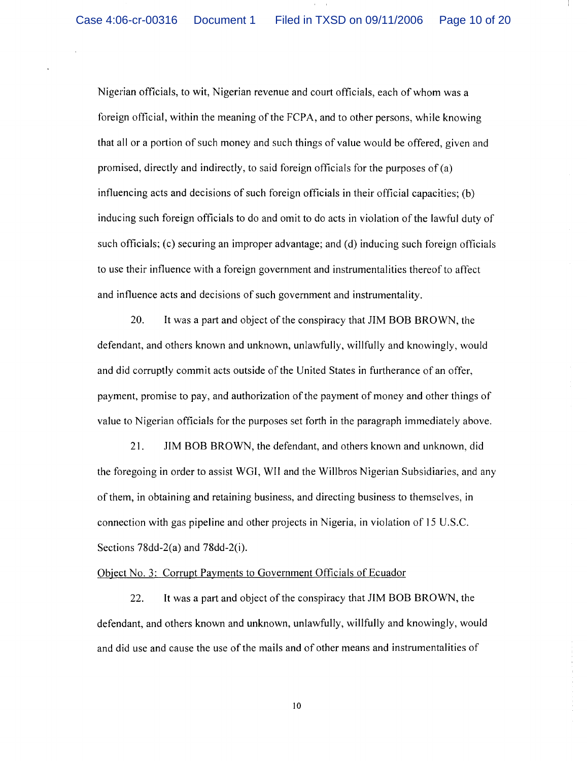Nigerian officials, to wit, Nigerian revenue and court officials, each of whom was a foreign official, within the meaning of the FCPA, and to other persons, while knowing that all or a portion of such money and such things of value would be offered, given and promised, directly and indirectly, to said foreign officials for the purposes of (a) influencing acts and decisions of such foreign officials in their official capacities; (b) inducing such foreign officials to do and omit to do acts in violation of the lawful duty of such officials; (c) securing an improper advantage; and (d) inducing such foreign officials to use their influence with a foreign government and instrumentalities thereof to affect and influence acts and decisions of such government and instrumentality.

20. It was a part and object of the conspiracy that JIM BOB BROWN, the defendant, and others known and unknown, unlawfully, willfully and knowingly, would and did corruptly commit acts outside of the United States in furtherance of an offer, payment, promise to pay, and authorization of the payment of money and other things of value to Nigerian officials for the purposes set forth in the paragraph immediately above.

21. JIM BOB BROWN, the defendant, and others known and unknown, did the foregoing in order to assist WGI, WII and the Willbros Nigerian Subsidiaries, and any of them, in obtaining and retaining business, and directing business to themselves, in connection with gas pipeline and other projects in Nigeria, in violation of 15 U.S.c. Sections 78dd-2(a) and 78dd-2(i).

## Object No.3: Corrupt Payments to Government Officials of Ecuador

22. It was a part and object of the conspiracy that JIM BOB BROWN, the defendant, and others known and unknown, unlawfully, willfully and knowingly, would and did use and cause the use of the mails and of other means and instrumentalities of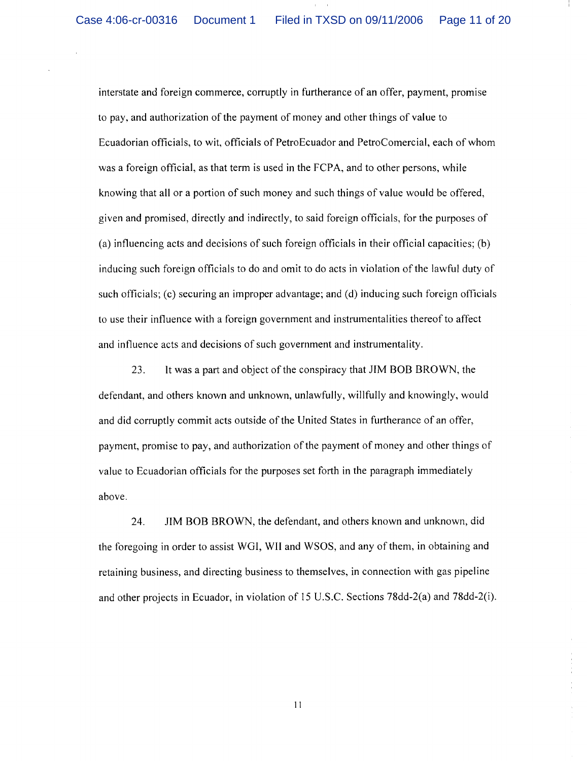interstate and foreign commerce, corruptly in furtherance of an offer, payment, promise to pay, and authorization of the payment of money and other things of value to Ecuadorian officials, to wit, officials of PetroEcuador and PetroComercial, each of whom was a foreign official, as that term is used in the FCPA, and to other persons, while knowing that all or a portion of such money and such things of value would be offered, given and promised, directly and indirectly, to said foreign officials, for the purposes of (a) influencing acts and decisions of such foreign officials in their official capacities; (b) inducing such foreign officials to do and omit to do acts in violation of the lawful duty of such officials; (c) securing an improper advantage; and (d) inducing such foreign officials to use their influence with a foreign government and instrumentalities thereof to affect and influence acts and decisions of such government and instrumentality.

23. It was a part and object of the conspiracy that JIM BOB BROWN, the defendant, and others known and unknown, unlawfully, willfully and knowingly, would and did corruptly commit acts outside of the United States in furtherance of an offer, payment, promise to pay, and authorization of the payment of money and other things of value to Ecuadorian officials for the purposes set forth in the paragraph immediately above.

24. JIM BOB BROWN, the defendant, and others known and unknown, did the foregoing in order to assist WGI, WII and WSOS, and any of them, in obtaining and retaining business, and directing business to themselves, in connection with gas pipeline and other projects in Ecuador, in violation of 15 u.s.c. Sections 78dd-2(a) and 78dd-2(i).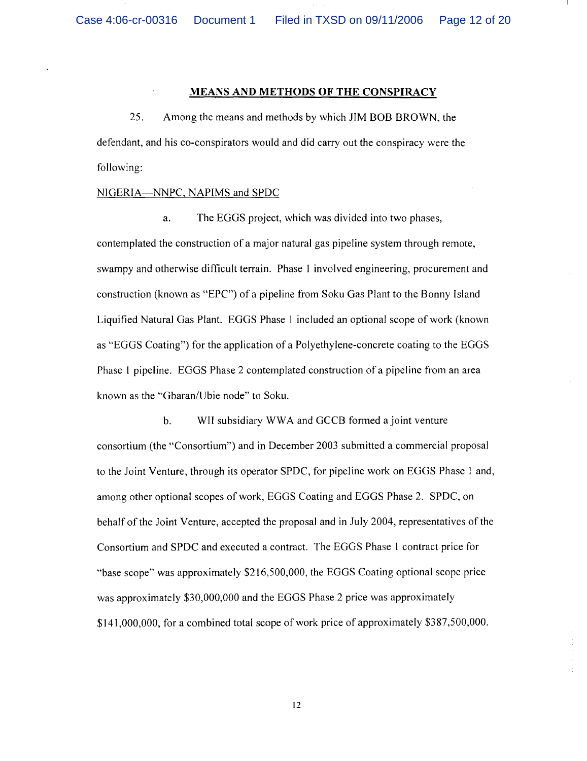#### **MEANS AND METHODS OF THE CONSPIRACY**

25. Among the means and methods by which JIM BOB BROWN, the defendant, and his co-conspirators would and did carry out the conspiracy were the following:

## NIGERlA-NNPC, NAPIMS and SPDC

a. The EGGS project, which was divided into two phases, contemplated the construction of a major natural gas pipeline system through remote, swampy and otherwise difficult terrain. Phase 1 involved engineering, procurement and construction (known as "EPC") of a pipeline from Soku Gas Plant to the Bonny Island Liquified Natural Gas Plant. EGGS Phase 1 included an optional scope of work (known as "EGGS Coating") for the application of a Polyethylene-concrete coating to the EGGS Phase 1 pipeline. EGGS Phase 2 contemplated construction of a pipeline from an area known as the "Gbaran/Ubie node" to Soku.

b. WII subsidiary WWA and GCCB formed a joint venture consortium (the "Consortium") and in December 2003 submitted a commercial proposal to the Joint Venture, through its operator SPDC, for pipeline work on EGGS Phase 1 and, among other optional scopes of work, EGGS Coating and EGGS Phase 2. SPDC, on behalf of the Joint Venture, accepted the proposal and in July 2004, representatives of the Consortium and SPDC and executed a contract. The EGGS Phase 1 contract price for "base scope" was approximately \$216,500,000, the EGGS Coating optional scope price was approximately \$30,000,000 and the EGGS Phase 2 price was approximately \$141,000,000, for a combined total scope of work price of approximately \$387,500,000.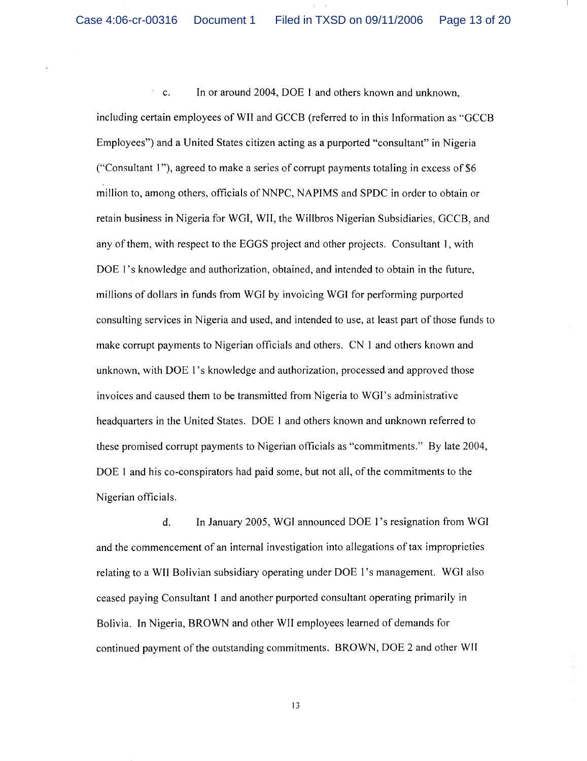$\bar{ }$ c. In or around 2004, DOE I and others known and unknown, including certain employees of WII and GCCB (referred to in this Information as "GCCB Employees") and a United States citizen acting as a purported "consultant" in Nigeria ("Consultant 1"), agreed to make a series of corrupt payments totaling in excess of  $$6$ million to, among others, officials of NNPC, NAPIMS and SPDC in order to obtain or retain business in Nigeria for WGI, WII, the Willbros Nigerian Subsidiaries, GCCB, and any of them, with respect to the EGGS project and other projects. Consultant I, with DOE 1's knowledge and authorization, obtained, and intended to obtain in the future, millions of dollars in funds from WGI by invoicing WGI for performing purported consulting services in Nigeria and used, and intended to use, at least part of those funds to make corrupt payments to Nigerian officials and others. CN I and others known and unknown, with DOE I 's knowledge and authorization, processed and approved those invoices and caused them to be transmitted from Nigeria to WGI's administrative headquarters in the United States. DOE I and others known and unknown referred to these promised corrupt payments to Nigerian officials as "commitments." By late 2004, DOE I and his co-conspirators had paid some, but not all, of the commitments to the Nigerian officials.

d. In January 2005, WGI announced DOE I 's resignation from WGI and the commencement of an internal investigation into allegations of tax improprieties relating to a WII Bolivian subsidiary operating under DOE I 's management. WGI also ceased paying Consultant I and another purported consultant operating primarily in Bolivia. In Nigeria, BROWN and other WII employees learned of demands for continued payment of the outstanding commitments. BROWN, DOE 2 and other WII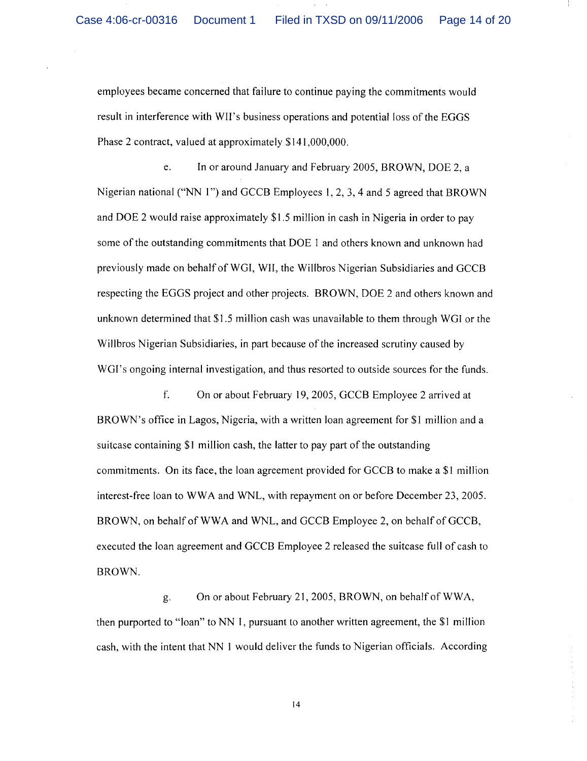employees became concerned that failure to continue paying the commitments would result in interference with WIl's business operations and potential loss of the EGGS Phase 2 contract, valued at approximately \$141,000,000.

e. In or around January and February 2005, BROWN, DOE 2, a Nigerian national ("NN 1") and GCCB Employees 1, 2, 3, 4 and 5 agreed that BROWN and DOE 2 would raise approximately \$1.5 million in cash in Nigeria in order to pay some of the outstanding commitments that DOE 1 and others known and unknown had previously made on behalf of WGI, WII, the Willbros Nigerian Subsidiaries and GCCB respecting the EGGS project and other projects. BROWN, DOE 2 and others known and unknown determined that \$1.5 million cash was unavailable to them through WGI or the Willbros Nigerian Subsidiaries, in part because of the increased scrutiny caused by WGI's ongoing internal investigation, and thus resorted to outside sources for the funds.

f. On or about February 19, 2005, GCCB Employee 2 arrived at BROWN's office in Lagos, Nigeria, with a written loan agreement for \$1 million and a suitcase containing \$1 million cash, the latter to pay part of the outstanding commitments. On its face, the loan agreement provided for GCCB to make a  $$1$  million interest-free loan to WWA and WNL, with repayment on or before December 23,2005. BROWN, on behalf of WWA and WNL, and GCCB Employee 2, on behalf of GCCB, executed the loan agreement and GCCB Employee 2 released the suitcase full of cash to BROWN.

g. On or about February 21, 2005, BROWN, on behalf of WW A, then purported to "loan" to NN 1, pursuant to another written agreement, the \$1 million cash, with the intent that NN 1 would deliver the funds to Nigerian officials. According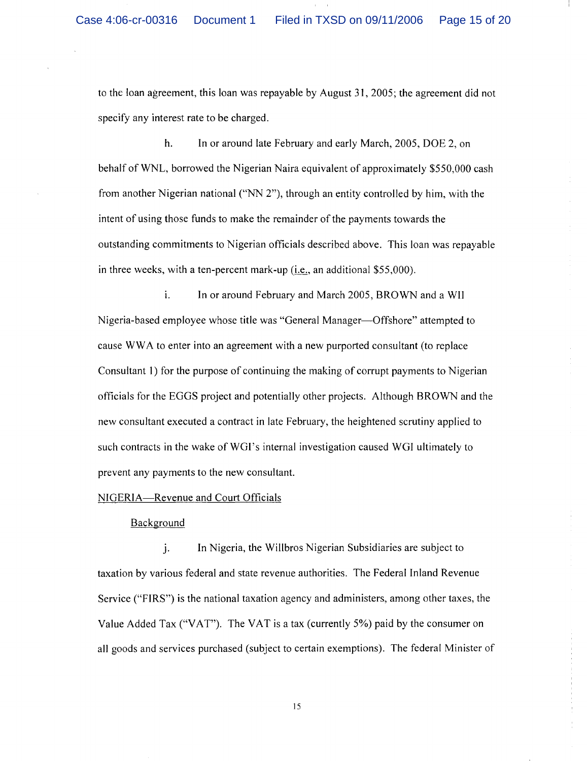to the loan agreement, this loan was repayable by August 31,2005; the agreement did not specify any interest rate to be charged.

h. In or around late February and early March, 2005, DOE 2, on behalf of WNL, borrowed the Nigerian Naira equivalent of approximately \$550,000 cash from another Nigerian national ("NN 2"), through an entity controlled by him, with the intent of using those funds to make the remainder of the payments towards the outstanding commitments to Nigerian officials described above. This loan was repayable in three weeks, with a ten-percent mark-up (i.e., an additional \$55,000).

1. In or around February and March 2005, BROWN and a WlI Nigeria-based employee whose title was "General Manager-Offshore" attempted to cause WW A to enter into an agreement with a new purported consultant (to replace Consultant I) for the purpose of continuing the making of corrupt payments to Nigerian officials for the EGGS project and potentially other projects. Although BROWN and the new consultant executed a contract in late February, the heightened scrutiny applied to such contracts in the wake of WGI's internal investigation caused WGI ultimately to prevent any payments to the new consultant.

## NIGERIA-Revenue and Court Officials

## Background

j. In Nigeria, the Willbros Nigerian Subsidiaries are subject to taxation by various federal and state revenue authorities. The Federal Inland Revenue Service ("FIRS") is the national taxation agency and administers, among other taxes, the Value Added Tax ("VAT"). The VAT is a tax (currently 5%) paid by the consumer on all goods and services purchased (subject to certain exemptions). The federal Minister of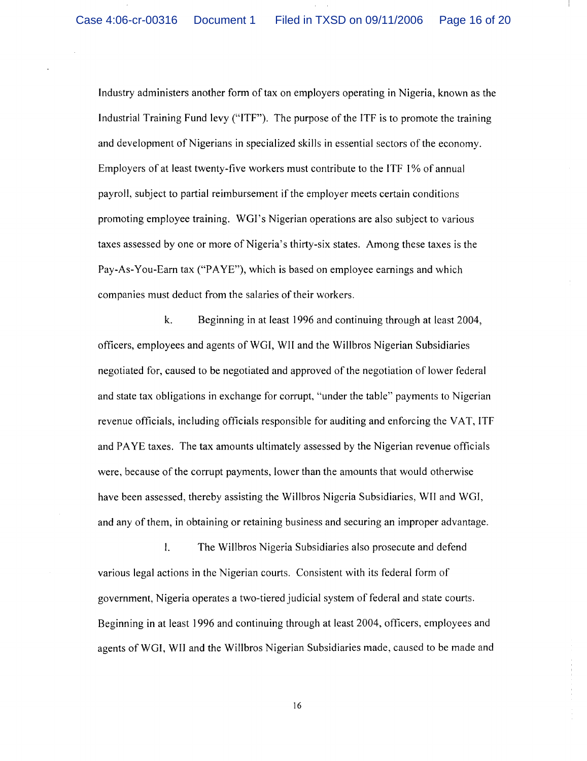Industry administers another form of tax on employers operating in Nigeria, known as the Industrial Training Fund levy ("ITF"). The purpose of the ITF is to promote the training and development of Nigerians in specialized skills in essential sectors of the economy. Employers of at least twenty-five workers must contribute to the ITF 1 % of annual payroll, subject to partial reimbursement if the employer meets certain conditions promoting employee training. WGI's Nigerian operations are also subject to various taxes assessed by one or more of Nigeria's thirty-six states. Among these taxes is the Pay-As-You-Earn tax ("PAYE"), which is based on employee earnings and which companies must deduct from the salaries of their workers.

k. Beginning in at least 1996 and continuing through at least 2004, officers, employees and agents of WGI, WII and the Willbros Nigerian Subsidiaries negotiated for, caused to be negotiated and approved of the negotiation oflower federal and state tax obligations in exchange for corrupt, "under the table" payments to Nigerian revenue officials, including officials responsible for auditing and enforcing the VAT, ITF and PA YE taxes. The tax amounts ultimately assessed by the Nigerian revenue officials were, because of the corrupt payments, lower than the amounts that would otherwise have been assessed, thereby assisting the Willbros Nigeria Subsidiaries, WIl and WGI, and any of them, in obtaining or retaining business and securing an improper advantage.

\. The Willbros Nigeria Subsidiaries also prosecute and defend various legal actions in the Nigerian courts. Consistent with its federal form of government, Nigeria operates a two-tiered judicial system of federal and state courts. Beginning in at least 1996 and continuing through at least 2004, officers, employees and agents of WGI, WII and the Willbros Nigerian Subsidiaries made, caused to be made and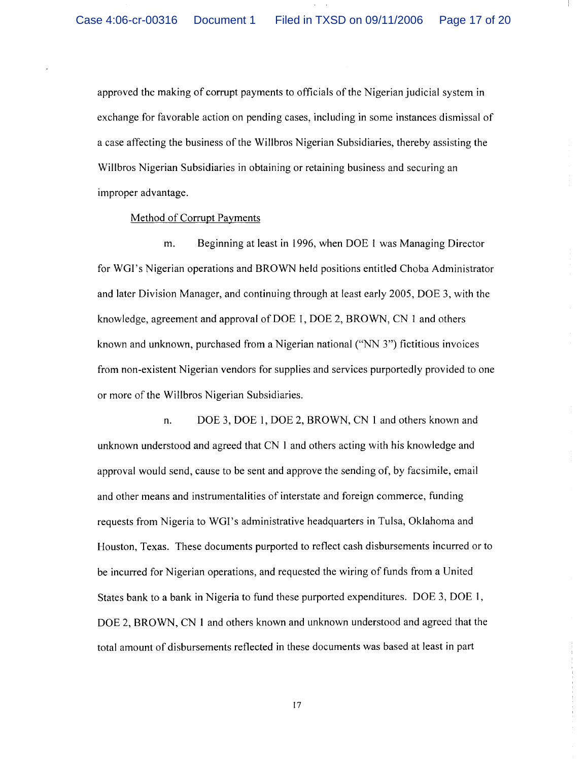approved the making of corrupt payments to officials of the Nigerian judicial system in exchange for favorable action on pending cases, including in some instances dismissal of a case affecting the business of the Willbros Nigerian Subsidiaries, thereby assisting the Willbros Nigerian Subsidiaries in obtaining or retaining business and securing an improper advantage.

## Method of Corrupt Payments

m. Beginning at least in 1996, when DOE 1 was Managing Director for WGI's Nigerian operations and BROWN held positions entitled Choba Administrator and later Division Manager, and continuing through at least early 2005, DOE 3, with the knowledge, agreement and approval of DOE I, DOE 2, BROWN, CN I and others known and unknown, purchased from a Nigerian national ("NN 3") fictitious invoices from non-existent Nigerian vendors for supplies and services purportedly provided to one or more of the Willbros Nigerian Subsidiaries.

n. DOE 3, DOE I, DOE 2, BROWN, CN I and others known and unknown understood and agreed that CN I and others acting with his knowledge and approval would send, cause to be sent and approve the sending of, by facsimile, email and other means and instrumentalities of interstate and foreign commerce, funding requests from Nigeria to WGI's administrative headquarters in Tulsa, Oklahoma and Houston, Texas. These documents purported to reflect cash disbursements incurred or to be incurred for Nigerian operations, and requested the wiring of funds from a United States bank to a bank in Nigeria to fund these purported expenditures. DOE 3, DOE I, DOE 2, BROWN, CN 1 and others known and unknown understood and agreed that the total amount of disbursements reflected in these documents was based at least in part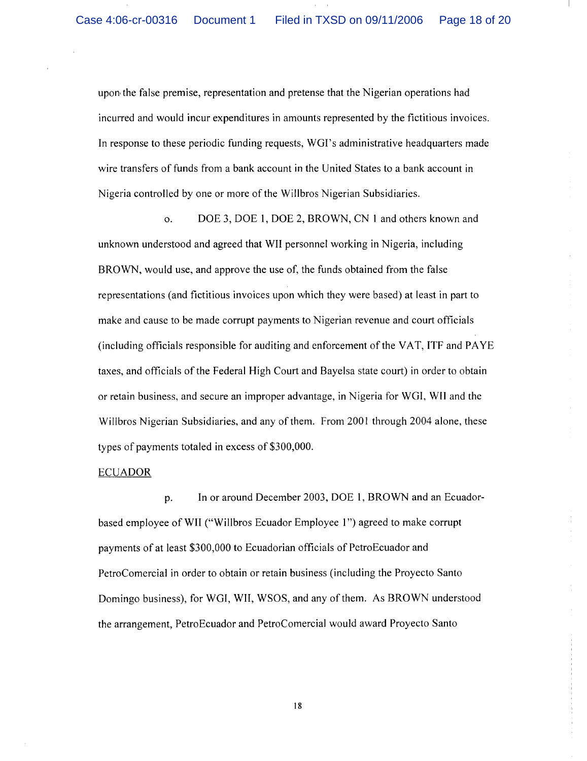upon the false premise, representation and pretense that the Nigerian operations had incurred and would incur expenditures in amounts represented by the fictitious invoices. In response to these periodic funding requests, WGI's administrative headquarters made wire transfers of funds from a bank account in the United States to a bank account in Nigeria controlled by one or more of the Willbros Nigerian Subsidiaries.

o. DOE 3, DOE 1, DOE 2, BROWN, CN 1 and others known and unknown understood and agreed that WII personnel working in Nigeria, including BROWN, would use, and approve the use of, the funds obtained from the false representations (and fictitious invoices upon which they were based) at least in part to make and cause to be made corrupt payments to Nigerian revenue and court officials (including officials responsible for auditing and enforcement of the VAT, ITF and PA YE taxes, and officials of the Federal High Court and Bayelsa state court) in order to obtain or retain business, and secure an improper advantage, in Nigeria for WGI, WII and the Willbros Nigerian Subsidiaries, and any of them. From 2001 through 2004 alone, these types of payments totaled in excess of \$300,000.

#### ECUADOR

p. In or around December 2003, DOE 1, BROWN and an Ecuadorbased employee of WII ("Willbros Ecuador Employee 1") agreed to make corrupt payments of at least \$300,000 to Ecuadorian officials of PetroEcuador and PetroComercial in order to obtain or retain business (including the Proyecto Santo Domingo business), for WGI, WII, WSOS, and any of them. As BROWN understood the arrangement, Petro Ecuador and Petro Comercial would award Proyecto Santo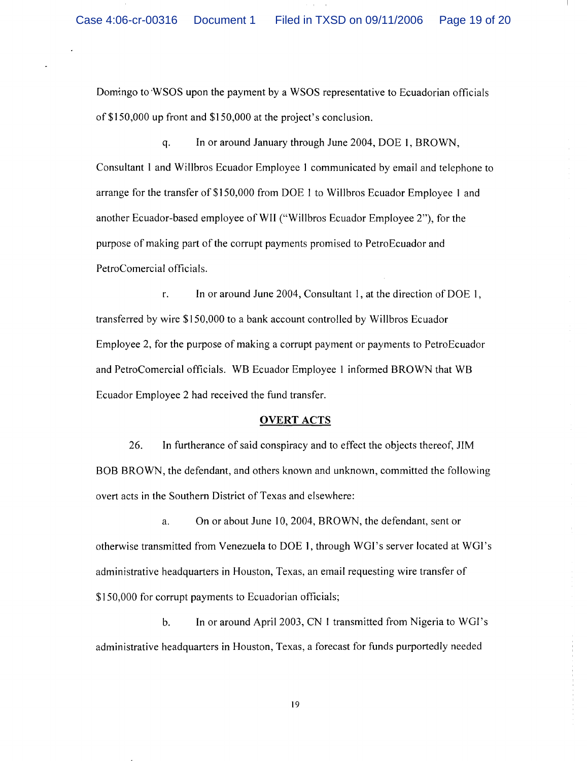Domingo to 'WSOS upon the payment by a WSOS representative to Ecuadorian officials of \$150,000 up front and \$150,000 at the project's conclusion.

q. In or around January through June 2004, DOE 1, BROWN, Consultant 1 and Willbros Ecuador Employee 1 communicated by email and telephone to arrange for the transfer of \$150,000 from DOE 1 to Willbros Ecuador Employee I and another Ecuador-based employee of WII ("Willbros Ecuador Employee 2"), for the purpose of making part of the corrupt payments promised to PetroEcuador and PetroComercial officials.

r. In or around June 2004, Consultant 1, at the direction of DOE 1, transferred by wire \$150,000 to a bank account controlled by Willbros Ecuador Employee 2, for the purpose of making a corrupt payment or payments to PetroEcuador and PetroComercial officials. WB Ecuador Employee 1 informed BROWN that WB Ecuador Employee 2 had received the fund transfer.

#### **OVERT** ACTS

26. In furtherance of said conspiracy and to effect the objects thereof, JIM BOB BROWN, the defendant, and others known and unknown, committed the following overt acts in the Southern District of Texas and elsewhere:

a. On or about June 10, 2004, BROWN, the defendant, sent or otherwise transmitted from Venezuela to DOE 1, through WGI's server located at WGI's administrative headquarters in Houston, Texas, an email requesting wire transfer of \$150,000 for corrupt payments to Ecuadorian officials;

b. In or around April 2003, CN 1 transmitted from Nigeria to WGI's administrative headquarters in Houston, Texas, a forecast for funds purportedly needed